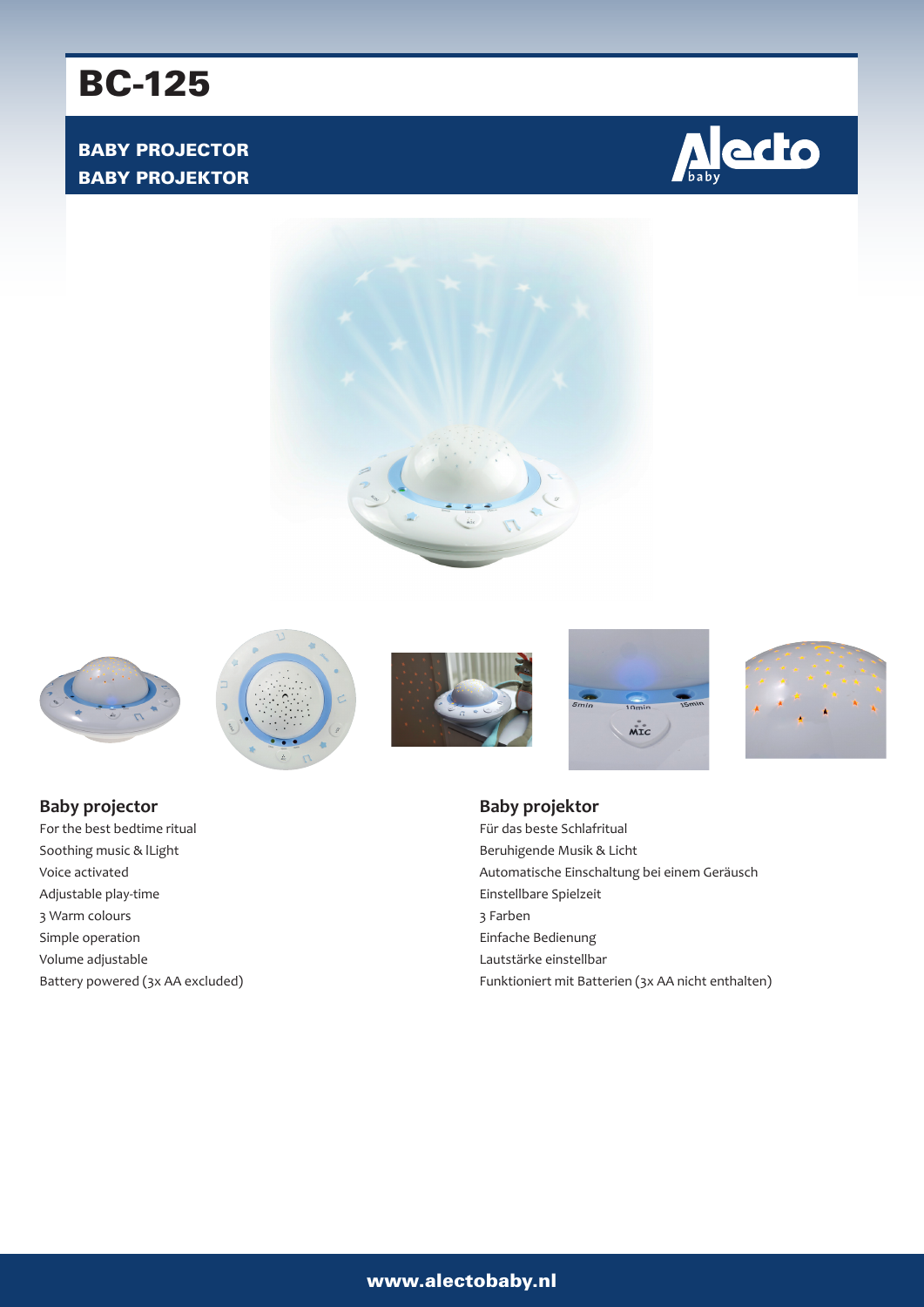# BC-125

## BABY PROJECTOR BABY PROJEKTOR







**Baby projector** For the best bedtime ritual Soothing music & lLight Voice activated Adjustable play-time 3 Warm colours Simple operation Volume adjustable Battery powered (3x AA excluded)









**Baby projektor** Für das beste Schlafritual Beruhigende Musik & Licht Automatische Einschaltung bei einem Geräusch Einstellbare Spielzeit 3 Farben Einfache Bedienung Lautstärke einstellbar Funktioniert mit Batterien (3x AA nicht enthalten)